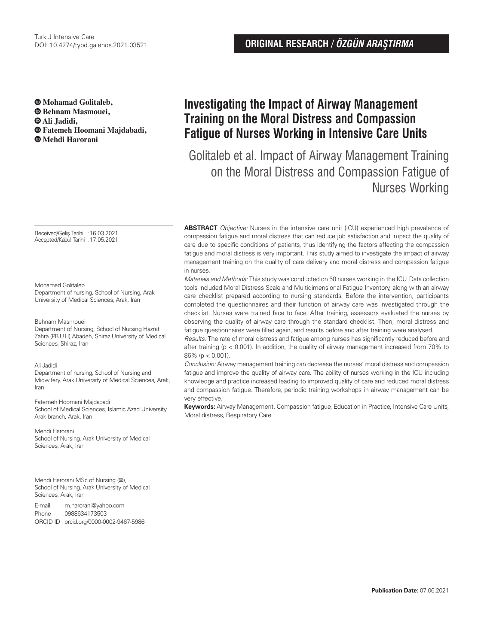**Mohamad Golitaleb, Behnam Masmouei, Ali Jadidi, Fatemeh Hoomani Majdabadi,** 

 **Mehdi Harorani**

Received/Geliş Tarihi : 16.03.2021 Accepted/Kabul Tarihi :17.05.2021

#### Mohamad Golitaleb

Department of nursing, School of Nursing, Arak University of Medical Sciences, Arak, Iran

#### Behnam Masmouei

Department of Nursing, School of Nursing Hazrat Zahra (P.B.U.H) Abadeh, Shiraz University of Medical Sciences, Shiraz, Iran

#### Ali Jadidi

Department of nursing, School of Nursing and Midwifery, Arak University of Medical Sciences, Arak, Iran

Fatemeh Hoomani Majdabadi School of Medical Sciences, Islamic Azad University Arak branch, Arak, Iran

Mehdi Harorani School of Nursing, Arak University of Medical Sciences, Arak, Iran

Mehdi Harorani MSc of Nursing (**✉**), School of Nursing, Arak University of Medical Sciences, Arak, Iran

E-mail : m.harorani@yahoo.com Phone : 0988634173503 ORCID ID : orcid.org/0000-0002-9467-5986

# **Investigating the Impact of Airway Management Training on the Moral Distress and Compassion Fatigue of Nurses Working in Intensive Care Units**

Golitaleb et al. Impact of Airway Management Training on the Moral Distress and Compassion Fatigue of Nurses Working

**ABSTRACT** Objective: Nurses in the intensive care unit (ICU) experienced high prevalence of compassion fatigue and moral distress that can reduce job satisfaction and impact the quality of care due to specific conditions of patients, thus identifying the factors affecting the compassion fatigue and moral distress is very important. This study aimed to investigate the impact of airway management training on the quality of care delivery and moral distress and compassion fatigue in nurses.

Materials and Methods: This study was conducted on 50 nurses working in the ICU. Data collection tools included Moral Distress Scale and Multidimensional Fatigue Inventory, along with an airway care checklist prepared according to nursing standards. Before the intervention, participants completed the questionnaires and their function of airway care was investigated through the checklist. Nurses were trained face to face. After training, assessors evaluated the nurses by observing the quality of airway care through the standard checklist. Then, moral distress and fatigue questionnaires were filled again, and results before and after training were analysed.

Results: The rate of moral distress and fatigue among nurses has significantly reduced before and after training (p < 0.001). In addition, the quality of airway management increased from 70% to 86% (p < 0.001).

Conclusion: Airway management training can decrease the nurses' moral distress and compassion fatigue and improve the quality of airway care. The ability of nurses working in the ICU including knowledge and practice increased leading to improved quality of care and reduced moral distress and compassion fatigue. Therefore, periodic training workshops in airway management can be very effective.

**Keywords:** Airway Management, Compassion fatigue, Education in Practice, Intensive Care Units, Moral distress, Respiratory Care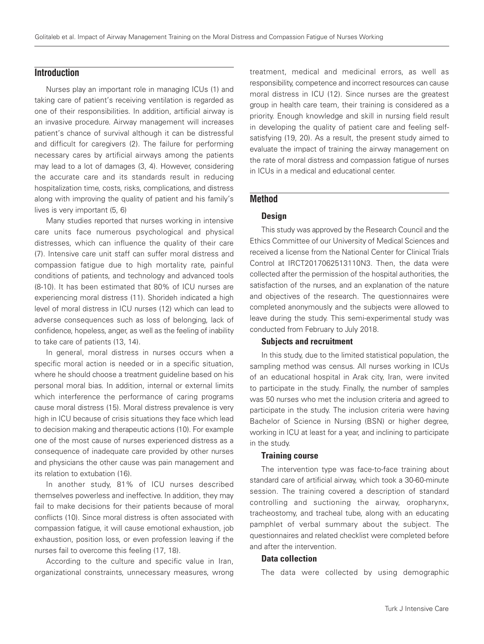# **Introduction**

Nurses play an important role in managing ICUs (1) and taking care of patient's receiving ventilation is regarded as one of their responsibilities. In addition, artificial airway is an invasive procedure. Airway management will increases patient's chance of survival although it can be distressful and difficult for caregivers (2). The failure for performing necessary cares by artificial airways among the patients may lead to a lot of damages (3, 4). However, considering the accurate care and its standards result in reducing hospitalization time, costs, risks, complications, and distress along with improving the quality of patient and his family's lives is very important (5, 6)

Many studies reported that nurses working in intensive care units face numerous psychological and physical distresses, which can influence the quality of their care (7). Intensive care unit staff can suffer moral distress and compassion fatigue due to high mortality rate, painful conditions of patients, and technology and advanced tools (8-10). It has been estimated that 80% of ICU nurses are experiencing moral distress (11). Shorideh indicated a high level of moral distress in ICU nurses (12) which can lead to adverse consequences such as loss of belonging, lack of confidence, hopeless, anger, as well as the feeling of inability to take care of patients (13, 14).

In general, moral distress in nurses occurs when a specific moral action is needed or in a specific situation, where he should choose a treatment guideline based on his personal moral bias. In addition, internal or external limits which interference the performance of caring programs cause moral distress (15). Moral distress prevalence is very high in ICU because of crisis situations they face which lead to decision making and therapeutic actions (10). For example one of the most cause of nurses experienced distress as a consequence of inadequate care provided by other nurses and physicians the other cause was pain management and its relation to extubation (16).

In another study, 81% of ICU nurses described themselves powerless and ineffective. In addition, they may fail to make decisions for their patients because of moral conflicts (10). Since moral distress is often associated with compassion fatigue, it will cause emotional exhaustion, job exhaustion, position loss, or even profession leaving if the nurses fail to overcome this feeling (17, 18).

According to the culture and specific value in Iran, organizational constraints, unnecessary measures, wrong

treatment, medical and medicinal errors, as well as responsibility, competence and incorrect resources can cause moral distress in ICU (12). Since nurses are the greatest group in health care team, their training is considered as a priority. Enough knowledge and skill in nursing field result in developing the quality of patient care and feeling selfsatisfying (19, 20). As a result, the present study aimed to evaluate the impact of training the airway management on the rate of moral distress and compassion fatigue of nurses in ICUs in a medical and educational center.

# **Method**

## **Design**

This study was approved by the Research Council and the Ethics Committee of our University of Medical Sciences and received a license from the National Center for Clinical Trials Control at IRCT2017062513110N3. Then, the data were collected after the permission of the hospital authorities, the satisfaction of the nurses, and an explanation of the nature and objectives of the research. The questionnaires were completed anonymously and the subjects were allowed to leave during the study. This semi-experimental study was conducted from February to July 2018.

#### Subjects and recruitment

In this study, due to the limited statistical population, the sampling method was census. All nurses working in ICUs of an educational hospital in Arak city, Iran, were invited to participate in the study. Finally, the number of samples was 50 nurses who met the inclusion criteria and agreed to participate in the study. The inclusion criteria were having Bachelor of Science in Nursing (BSN) or higher degree, working in ICU at least for a year, and inclining to participate in the study.

#### Training course

The intervention type was face-to-face training about standard care of artificial airway, which took a 30-60-minute session. The training covered a description of standard controlling and suctioning the airway, oropharynx, tracheostomy, and tracheal tube, along with an educating pamphlet of verbal summary about the subject. The questionnaires and related checklist were completed before and after the intervention.

## Data collection

The data were collected by using demographic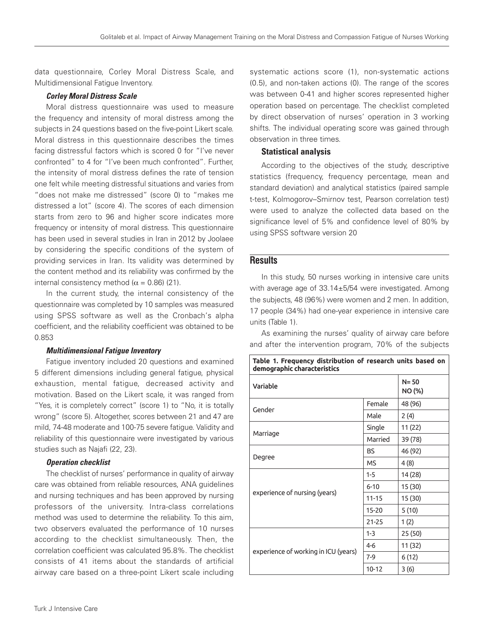data questionnaire, Corley Moral Distress Scale, and Multidimensional Fatigue Inventory.

## Corley Moral Distress Scale

Moral distress questionnaire was used to measure the frequency and intensity of moral distress among the subjects in 24 questions based on the five-point Likert scale. Moral distress in this questionnaire describes the times facing distressful factors which is scored 0 for "I've never confronted" to 4 for "I've been much confronted". Further, the intensity of moral distress defines the rate of tension one felt while meeting distressful situations and varies from "does not make me distressed" (score 0) to "makes me distressed a lot" (score 4). The scores of each dimension starts from zero to 96 and higher score indicates more frequency or intensity of moral distress. This questionnaire has been used in several studies in Iran in 2012 by Joolaee by considering the specific conditions of the system of providing services in Iran. Its validity was determined by the content method and its reliability was confirmed by the internal consistency method ( $α = 0.86$ ) (21).

In the current study, the internal consistency of the questionnaire was completed by 10 samples was measured using SPSS software as well as the Cronbach's alpha coefficient, and the reliability coefficient was obtained to be 0.853

## Multidimensional Fatigue Inventory

Fatigue inventory included 20 questions and examined 5 different dimensions including general fatigue, physical exhaustion, mental fatigue, decreased activity and motivation. Based on the Likert scale, it was ranged from "Yes, it is completely correct" (score 1) to "No, it is totally wrong" (score 5). Altogether, scores between 21 and 47 are mild, 74-48 moderate and 100-75 severe fatigue. Validity and reliability of this questionnaire were investigated by various studies such as Najafi (22, 23).

# Operation checklist

The checklist of nurses' performance in quality of airway care was obtained from reliable resources, ANA guidelines and nursing techniques and has been approved by nursing professors of the university. Intra-class correlations method was used to determine the reliability. To this aim, two observers evaluated the performance of 10 nurses according to the checklist simultaneously. Then, the correlation coefficient was calculated 95.8%. The checklist consists of 41 items about the standards of artificial airway care based on a three-point Likert scale including

systematic actions score (1), non-systematic actions (0.5), and non-taken actions (0). The range of the scores was between 0-41 and higher scores represented higher operation based on percentage. The checklist completed by direct observation of nurses' operation in 3 working shifts. The individual operating score was gained through observation in three times.

# Statistical analysis

According to the objectives of the study, descriptive statistics (frequency, frequency percentage, mean and standard deviation) and analytical statistics (paired sample t-test, Kolmogorov–Smirnov test, Pearson correlation test) were used to analyze the collected data based on the significance level of 5% and confidence level of 80% by using SPSS software version 20

# **Results**

In this study, 50 nurses working in intensive care units with average age of 33.14±5/54 were investigated. Among the subjects, 48 (96%) were women and 2 men. In addition, 17 people (34%) had one-year experience in intensive care units (Table 1).

As examining the nurses' quality of airway care before and after the intervention program, 70% of the subjects

| Table 1. Frequency distribution of research units based on<br>demographic characteristics |                    |         |  |  |  |  |  |
|-------------------------------------------------------------------------------------------|--------------------|---------|--|--|--|--|--|
| Variable                                                                                  | $N = 50$<br>NO (%) |         |  |  |  |  |  |
| Gender                                                                                    | Female             | 48 (96) |  |  |  |  |  |
|                                                                                           | Male               | 2(4)    |  |  |  |  |  |
| Marriage                                                                                  | Single             | 11 (22) |  |  |  |  |  |
|                                                                                           | Married            | 39 (78) |  |  |  |  |  |
| Degree                                                                                    | <b>BS</b>          | 46 (92) |  |  |  |  |  |
|                                                                                           | <b>MS</b>          | 4(8)    |  |  |  |  |  |
| experience of nursing (years)                                                             | $1 - 5$            | 14 (28) |  |  |  |  |  |
|                                                                                           | $6 - 10$           | 15 (30) |  |  |  |  |  |
|                                                                                           | $11 - 15$          | 15 (30) |  |  |  |  |  |
|                                                                                           | $15 - 20$          | 5(10)   |  |  |  |  |  |
|                                                                                           | $21 - 25$          | 1(2)    |  |  |  |  |  |
| experience of working in ICU (years)                                                      | $1 - 3$            | 25 (50) |  |  |  |  |  |
|                                                                                           | $4 - 6$            | 11 (32) |  |  |  |  |  |
|                                                                                           | $7-9$              | 6(12)   |  |  |  |  |  |
|                                                                                           | $10 - 12$          | 3(6)    |  |  |  |  |  |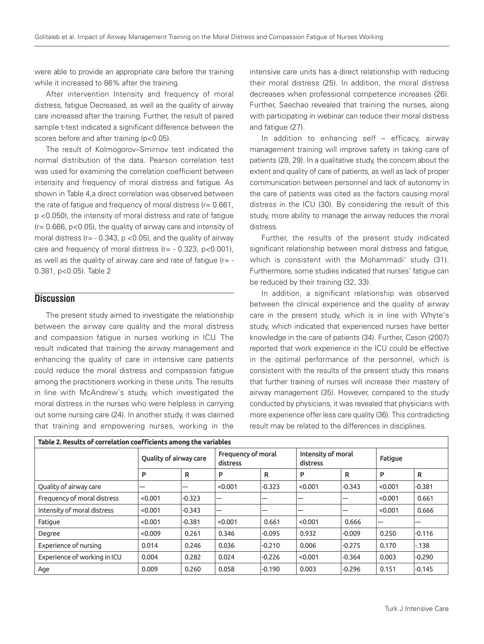were able to provide an appropriate care before the training while it increased to 86% after the training.

After intervention Intensity and frequency of moral distress, fatigue Decreased, as well as the quality of airway care increased after the training. Further, the result of paired sample t-test indicated a significant difference between the scores before and after training (p<0.05).

The result of Kolmogorov–Smirnov test indicated the normal distribution of the data. Pearson correlation test was used for examining the correlation coefficient between intensity and frequency of moral distress and fatigue. As shown in Table 4,a direct correlation was observed between the rate of fatigue and frequency of moral distress (r= 0.661, p <0.050), the intensity of moral distress and rate of fatigue (r= 0.666, p<0.05), the quality of airway care and intensity of moral distress ( $r = -0.343$ ,  $p < 0.05$ ), and the quality of airway care and frequency of moral distress  $(r = -0.323, p < 0.001)$ , as well as the quality of airway care and rate of fatigue  $(r = -1)$ 0.381, p<0.05). Table 2

# **Discussion**

The present study aimed to investigate the relationship between the airway care quality and the moral distress and compassion fatigue in nurses working in ICU. The result indicated that training the airway management and enhancing the quality of care in intensive care patients could reduce the moral distress and compassion fatigue among the practitioners working in these units. The results in line with McAndrew's study, which investigated the moral distress in the nurses who were helpless in carrying out some nursing care (24). In another study, it was claimed that training and empowering nurses, working in the

intensive care units has a direct relationship with reducing their moral distress (25). In addition, the moral distress decreases when professional competence increases (26). Further, Saechao revealed that training the nurses, along with participating in webinar can reduce their moral distress and fatigue (27).

In addition to enhancing self – efficacy, airway management training will improve safety in taking care of patients (28, 29). In a qualitative study, the concern about the extent and quality of care of patients, as well as lack of proper communication between personnel and lack of autonomy in the care of patients was cited as the factors causing moral distress in the ICU (30). By considering the result of this study, more ability to manage the airway reduces the moral distress.

Further, the results of the present study indicated significant relationship between moral distress and fatigue, which is consistent with the Mohammadi' study (31). Furthermore, some studies indicated that nurses' fatigue can be reduced by their training (32, 33).

In addition, a significant relationship was observed between the clinical experience and the quality of airway care in the present study, which is in line with Whyte's study, which indicated that experienced nurses have better knowledge in the care of patients (34). Further, Cason (2007) reported that work experience in the ICU could be effective in the optimal performance of the personnel, which is consistent with the results of the present study this means that further training of nurses will increase their mastery of airway management (35). However, compared to the study conducted by physicians, it was revealed that physicians with more experience offer less care quality (36). This contradicting result may be related to the differences in disciplines.

| Table 2. Results of correlation coefficients among the variables |                        |          |                                |          |                                |          |                |          |  |  |  |
|------------------------------------------------------------------|------------------------|----------|--------------------------------|----------|--------------------------------|----------|----------------|----------|--|--|--|
|                                                                  | Quality of airway care |          | Frequency of moral<br>distress |          | Intensity of moral<br>distress |          | <b>Fatique</b> |          |  |  |  |
|                                                                  | P                      | R        | P                              | R        | P                              | R        | P              | R        |  |  |  |
| Quality of airway care                                           | ---                    | ---      | < 0.001                        | $-0.323$ | < 0.001                        | $-0.343$ | < 0.001        | $-0.381$ |  |  |  |
| Frequency of moral distress                                      | < 0.001                | $-0.323$ | ---                            | ---      | ---                            | ---      | < 0.001        | 0.661    |  |  |  |
| Intensity of moral distress                                      | < 0.001                | $-0.343$ | ---                            | ---      | ---                            | ---      | < 0.001        | 0.666    |  |  |  |
| Fatigue                                                          | < 0.001                | $-0.381$ | < 0.001                        | 0.661    | < 0.001                        | 0.666    | ---            | ---      |  |  |  |
| Degree                                                           | < 0.009                | 0.261    | 0.346                          | $-0.095$ | 0.932                          | $-0.009$ | 0.250          | $-0.116$ |  |  |  |
| Experience of nursing                                            | 0.014                  | 0.246    | 0.036                          | $-0.210$ | 0.006                          | $-0.275$ | 0.170          | $-.138$  |  |  |  |
| Experience of working in ICU                                     | 0.004                  | 0.282    | 0.024                          | $-0.226$ | < 0.001                        | $-0.364$ | 0.003          | $-0.290$ |  |  |  |
| Age                                                              | 0.009                  | 0.260    | 0.058                          | $-0.190$ | 0.003                          | $-0.296$ | 0.151          | $-0.145$ |  |  |  |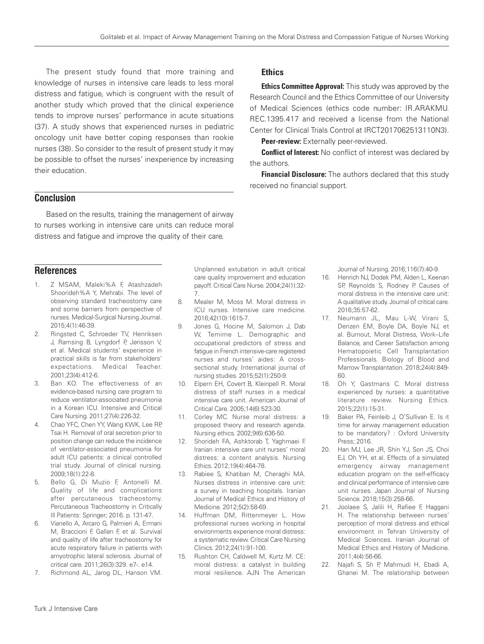**Ethics** 

the authors.

received no financial support.

The present study found that more training and knowledge of nurses in intensive care leads to less moral distress and fatigue, which is congruent with the result of another study which proved that the clinical experience tends to improve nurses' performance in acute situations (37). A study shows that experienced nurses in pediatric oncology unit have better coping responses than rookie nurses (38). So consider to the result of present study it may be possible to offset the nurses' inexperience by increasing their education.

# **Conclusion**

Based on the results, training the management of airway to nurses working in intensive care units can reduce moral distress and fatigue and improve the quality of their care.

# **References**

- 1. Z MSAM, Maleki%A F, Atashzadeh Shoorideh%A Y, Mehrabi. The level of observing standard tracheostomy care and some barriers from perspective of nurses. Medical-Surgical Nursing Journal. 2015;4(1):46-39.
- 2. Ringsted C, Schroeder TV, Henriksen J, Ramsing B, Lyngdorf P, Jønsson V, et al. Medical students' experience in practical skills is far from stakeholders' expectations. Medical Teacher. 2001;23(4):412-6.
- 3. Ban KO. The effectiveness of an evidence-based nursing care program to reduce ventilator-associated pneumonia in a Korean ICU. Intensive and Critical Care Nursing. 2011;27(4):226-32.
- 4. Chao YFC, Chen YY, Wang KWK, Lee RP, Tsai H. Removal of oral secretion prior to position change can reduce the incidence of ventilator-associated pneumonia for adult ICU patients: a clinical controlled trial study. Journal of clinical nursing. 2009;18(1):22-8.
- 5. Bello G, Di Muzio F, Antonelli M. Quality of life and complications after percutaneous tracheostomy. Percutaneous Tracheostomy in Critically Ill Patients: Springer; 2016. p. 131-47.
- 6. Vianello A, Arcaro G, Palmieri A, Ermani M, Braccioni F, Gallan F, et al. Survival and quality of life after tracheostomy for acute respiratory failure in patients with amyotrophic lateral sclerosis. Journal of critical care. 2011;26(3):329. e7-. e14.
- 7. Richmond AL, Jarog DL, Hanson VM.

Unplanned extubation in adult critical care quality improvement and education payoff. Critical Care Nurse. 2004;24(1):32- 7.

- 8. Mealer M, Moss M. Moral distress in ICU nurses. Intensive care medicine. 2016;42(10):1615-7.
- 9. Jones G, Hocine M, Salomon J, Dab W, Temime L. Demographic and occupational predictors of stress and fatigue in French intensive-care registered nurses and nurses' aides: A crosssectional study. International journal of nursing studies. 2015;52(1):250-9.
- 10. Elpern EH, Covert B, Kleinpell R. Moral distress of staff nurses in a medical intensive care unit. American Journal of Critical Care. 2005;14(6):523-30.
- 11. Corley MC. Nurse moral distress: a proposed theory and research agenda. Nursing ethics. 2002;9(6):636-50.
- 12. Shorideh FA, Ashktorab T, Yaghmaei F. Iranian intensive care unit nurses' moral distress: a content analysis. Nursing Ethics. 2012;19(4):464-78.
- 13. Rabiee S, Khatiban M, Cheraghi MA. Nurses distress in intensive care unit: a survey in teaching hospitals. Iranian Journal of Medical Ethics and History of Medicine. 2012;5(2):58-69.
- 14. Huffman DM, Rittenmeyer L. How professional nurses working in hospital environments experience moral distress: a systematic review. Critical Care Nursing Clinics. 2012;24(1):91-100.
- 15. Rushton CH, Caldwell M, Kurtz M. CE: moral distress: a catalyst in building moral resilience. AJN The American

Journal of Nursing. 2016;116(7):40-9.

**Ethics Committee Approval:** This study was approved by the Research Council and the Ethics Committee of our University of Medical Sciences (ethics code number: IR.ARAKMU. REC.1395.417 and received a license from the National Center for Clinical Trials Control at IRCT2017062513110N3).

**Conflict of Interest:** No conflict of interest was declared by

**Financial Disclosure:** The authors declared that this study

Peer-review: Externally peer-reviewed.

- 16. Henrich NJ, Dodek PM, Alden L, Keenan SP, Reynolds S, Rodney P. Causes of moral distress in the intensive care unit: A qualitative study. Journal of critical care. 2016;35:57-62.
- 17. Neumann JL, Mau L-W, Virani S, Denzen EM, Boyle DA, Boyle NJ, et al. Burnout, Moral Distress, Work–Life Balance, and Career Satisfaction among Hematopoietic Cell Transplantation Professionals. Biology of Blood and Marrow Transplantation. 2018;24(4):849- 60.
- 18. Oh Y, Gastmans C. Moral distress experienced by nurses: a quantitative literature review. Nursing Ethics. 2015;22(1):15-31.
- 19. Baker PA, Feinleib J, O'Sullivan E. Is it time for airway management education to be mandatory? : Oxford University Press; 2016.
- 20. Han MJ, Lee JR, Shin YJ, Son JS, Choi EJ, Oh YH, et al. Effects of a simulated emergency airway management education program on the self-efficacy and clinical performance of intensive care unit nurses. Japan Journal of Nursing Science. 2018;15(3):258-66.
- 21. Joolaee S, Jalili H, Rafiee F, Haggani H. The relationship between nurses' perception of moral distress and ethical environment in Tehran University of Medical Sciences. Iranian Journal of Medical Ethics and History of Medicine. 2011;4(4):56-66.
- 22. Najafi S, Sh P, Mahmudi H, Ebadi A, Ghanei M. The relationship between